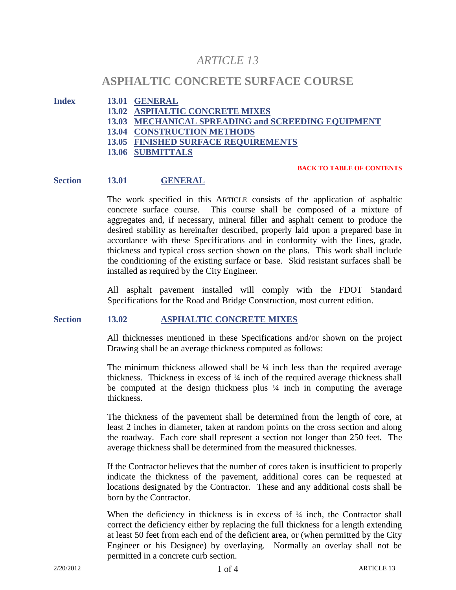# *ARTICLE 13*

## **ASPHALTIC CONCRETE SURFACE COURSE**

- **Index 13.01 GENERAL**
	- **13.02 ASPHALTIC CONCRETE MIXES**
	- **13.03 MECHANICAL SPREADING and SCREEDING EQUIPMENT**
	- **13.04 CONSTRUCTION METHODS**
	- **13.05 FINISHED SURFACE REQUIREMENTS**
	- **13.06 SUBMITTALS**

#### **BACK TO TABLE OF CONTENTS**

#### **Section 13.01 GENERAL**

The work specified in this ARTICLE consists of the application of asphaltic concrete surface course. This course shall be composed of a mixture of aggregates and, if necessary, mineral filler and asphalt cement to produce the desired stability as hereinafter described, properly laid upon a prepared base in accordance with these Specifications and in conformity with the lines, grade, thickness and typical cross section shown on the plans. This work shall include the conditioning of the existing surface or base. Skid resistant surfaces shall be installed as required by the City Engineer.

All asphalt pavement installed will comply with the FDOT Standard Specifications for the Road and Bridge Construction, most current edition.

#### **Section 13.02 ASPHALTIC CONCRETE MIXES**

All thicknesses mentioned in these Specifications and/or shown on the project Drawing shall be an average thickness computed as follows:

The minimum thickness allowed shall be  $\frac{1}{4}$  inch less than the required average thickness. Thickness in excess of  $\frac{1}{4}$  inch of the required average thickness shall be computed at the design thickness plus ¼ inch in computing the average thickness.

The thickness of the pavement shall be determined from the length of core, at least 2 inches in diameter, taken at random points on the cross section and along the roadway. Each core shall represent a section not longer than 250 feet. The average thickness shall be determined from the measured thicknesses.

If the Contractor believes that the number of cores taken is insufficient to properly indicate the thickness of the pavement, additional cores can be requested at locations designated by the Contractor. These and any additional costs shall be born by the Contractor.

When the deficiency in thickness is in excess of  $\frac{1}{4}$  inch, the Contractor shall correct the deficiency either by replacing the full thickness for a length extending at least 50 feet from each end of the deficient area, or (when permitted by the City Engineer or his Designee) by overlaying. Normally an overlay shall not be permitted in a concrete curb section.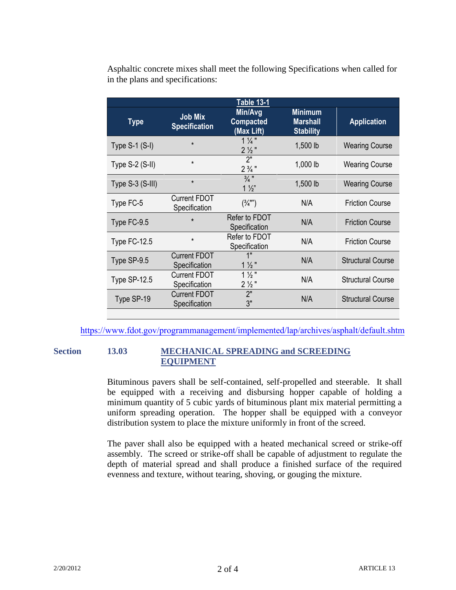|                        |                                        | <b>Table 13-1</b>                          |                                                       |                          |
|------------------------|----------------------------------------|--------------------------------------------|-------------------------------------------------------|--------------------------|
| <b>Type</b>            | <b>Job Mix</b><br><b>Specification</b> | Min/Avg<br><b>Compacted</b><br>(Max Lift)  | <b>Minimum</b><br><b>Marshall</b><br><b>Stability</b> | <b>Application</b>       |
| Type $S-1$ ( $S-I$ )   | $\star$                                | $1\frac{1}{4}$<br>$2\frac{1}{2}$ "         | 1,500 lb                                              | <b>Wearing Course</b>    |
| Type $S-2$ ( $S-II$ )  | $\star$                                | 2"<br>$2\frac{3}{4}$ "                     | 1,000 lb                                              | <b>Wearing Course</b>    |
| Type $S-3$ ( $S-III$ ) | $\star$                                | $\frac{3}{4}$ "<br>$1\frac{1}{2}$          | 1,500 lb                                              | <b>Wearing Course</b>    |
| Type FC-5              | <b>Current FDOT</b><br>Specification   | $(\frac{3}{4})^{\prime\prime\prime\prime}$ | N/A                                                   | <b>Friction Course</b>   |
| Type FC-9.5            | $\star$                                | Refer to FDOT<br>Specification             | N/A                                                   | <b>Friction Course</b>   |
| Type FC-12.5           | $\star$                                | Refer to FDOT<br>Specification             | N/A                                                   | <b>Friction Course</b>   |
| Type SP-9.5            | <b>Current FDOT</b><br>Specification   | 1"<br>$1\frac{1}{2}$ "                     | N/A                                                   | <b>Structural Course</b> |
| Type $SP-12.5$         | <b>Current FDOT</b><br>Specification   | $1\frac{1}{2}$ "<br>$2\frac{1}{2}$ "       | N/A                                                   | <b>Structural Course</b> |
| Type SP-19             | <b>Current FDOT</b><br>Specification   | 2"<br>3"                                   | N/A                                                   | <b>Structural Course</b> |

Asphaltic concrete mixes shall meet the following Specifications when called for in the plans and specifications:

[https://www.fdot.gov/programmanagement/implemented/lap/archives/asphalt/defau](http://www.dot.state.fl.us/specificationsoffice/Implemented/LAP/Archives/Asphalt/Default.shtm)lt.shtm

### **Section 13.03 MECHANICAL SPREADING and SCREEDING EQUIPMENT**

Bituminous pavers shall be self-contained, self-propelled and steerable. It shall be equipped with a receiving and disbursing hopper capable of holding a minimum quantity of 5 cubic yards of bituminous plant mix material permitting a uniform spreading operation. The hopper shall be equipped with a conveyor distribution system to place the mixture uniformly in front of the screed.

The paver shall also be equipped with a heated mechanical screed or strike-off assembly. The screed or strike-off shall be capable of adjustment to regulate the depth of material spread and shall produce a finished surface of the required evenness and texture, without tearing, shoving, or gouging the mixture.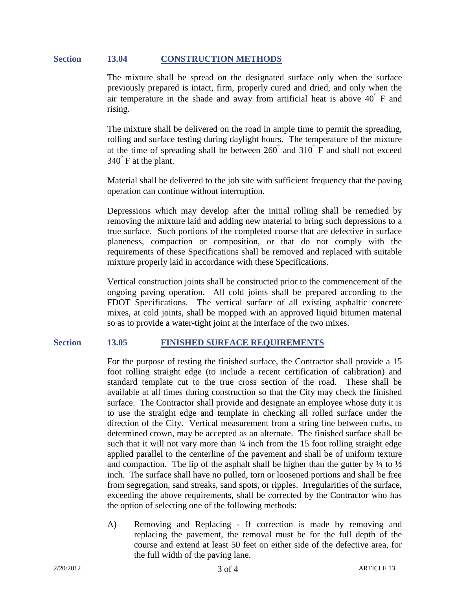#### **Section 13.04 CONSTRUCTION METHODS**

The mixture shall be spread on the designated surface only when the surface previously prepared is intact, firm, properly cured and dried, and only when the air temperature in the shade and away from artificial heat is above  $40^{\degree}$  F and rising.

The mixture shall be delivered on the road in ample time to permit the spreading, rolling and surface testing during daylight hours. The temperature of the mixture at the time of spreading shall be between  $260^{\degree}$  and  $310^{\degree}$  F and shall not exceed 340° F at the plant.

Material shall be delivered to the job site with sufficient frequency that the paving operation can continue without interruption.

Depressions which may develop after the initial rolling shall be remedied by removing the mixture laid and adding new material to bring such depressions to a true surface. Such portions of the completed course that are defective in surface planeness, compaction or composition, or that do not comply with the requirements of these Specifications shall be removed and replaced with suitable mixture properly laid in accordance with these Specifications.

Vertical construction joints shall be constructed prior to the commencement of the ongoing paving operation. All cold joints shall be prepared according to the FDOT Specifications. The vertical surface of all existing asphaltic concrete mixes, at cold joints, shall be mopped with an approved liquid bitumen material so as to provide a water-tight joint at the interface of the two mixes.

#### **Section 13.05 FINISHED SURFACE REQUIREMENTS**

For the purpose of testing the finished surface, the Contractor shall provide a 15 foot rolling straight edge (to include a recent certification of calibration) and standard template cut to the true cross section of the road. These shall be available at all times during construction so that the City may check the finished surface. The Contractor shall provide and designate an employee whose duty it is to use the straight edge and template in checking all rolled surface under the direction of the City. Vertical measurement from a string line between curbs, to determined crown, may be accepted as an alternate. The finished surface shall be such that it will not vary more than  $\frac{1}{4}$  inch from the 15 foot rolling straight edge applied parallel to the centerline of the pavement and shall be of uniform texture and compaction. The lip of the asphalt shall be higher than the gutter by  $\frac{1}{4}$  to  $\frac{1}{2}$ inch. The surface shall have no pulled, torn or loosened portions and shall be free from segregation, sand streaks, sand spots, or ripples. Irregularities of the surface, exceeding the above requirements, shall be corrected by the Contractor who has the option of selecting one of the following methods:

A) Removing and Replacing - If correction is made by removing and replacing the pavement, the removal must be for the full depth of the course and extend at least 50 feet on either side of the defective area, for the full width of the paving lane.